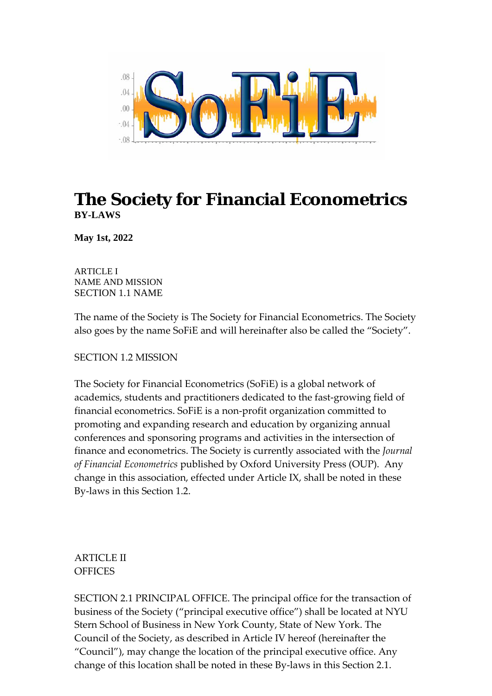

# **The Society for Financial Econometrics BY-LAWS**

**May 1st, 2022**

ARTICLE I NAME AND MISSION SECTION 1.1 NAME

The name of the Society is The Society for Financial Econometrics. The Society also goes by the name SoFiE and will hereinafter also be called the "Society".

SECTION 1.2 MISSION

The Society for Financial Econometrics (SoFiE) is a global network of academics, students and practitioners dedicated to the fast-growing field of financial econometrics. SoFiE is a non-profit organization committed to promoting and expanding research and education by organizing annual conferences and sponsoring programs and activities in the intersection of finance and econometrics. The Society is currently associated with the *Journal of Financial Econometrics* published by Oxford University Press (OUP). Any change in this association, effected under Article IX, shall be noted in these By-laws in this Section 1.2.

ARTICLE II **OFFICES** 

SECTION 2.1 PRINCIPAL OFFICE. The principal office for the transaction of business of the Society ("principal executive office") shall be located at NYU Stern School of Business in New York County, State of New York. The Council of the Society, as described in Article IV hereof (hereinafter the "Council"), may change the location of the principal executive office. Any change of this location shall be noted in these By-laws in this Section 2.1.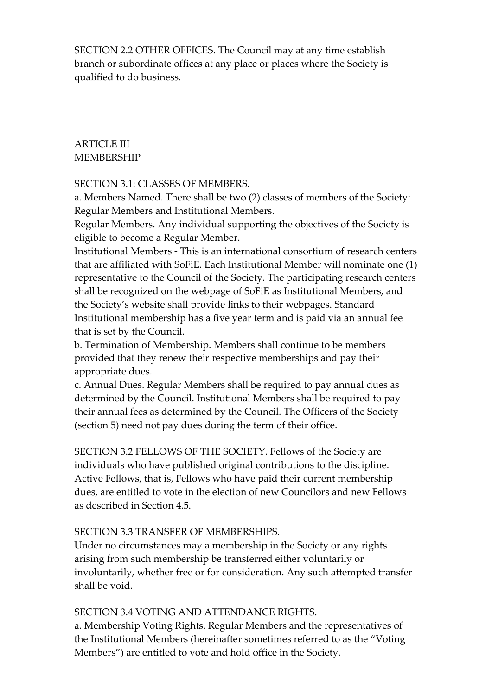SECTION 2.2 OTHER OFFICES. The Council may at any time establish branch or subordinate offices at any place or places where the Society is qualified to do business.

# ARTICLE III MEMBERSHIP

SECTION 3.1: CLASSES OF MEMBERS.

a. Members Named. There shall be two (2) classes of members of the Society: Regular Members and Institutional Members.

Regular Members. Any individual supporting the objectives of the Society is eligible to become a Regular Member.

Institutional Members - This is an international consortium of research centers that are affiliated with SoFiE. Each Institutional Member will nominate one (1) representative to the Council of the Society. The participating research centers shall be recognized on the webpage of SoFiE as Institutional Members, and the Society's website shall provide links to their webpages. Standard Institutional membership has a five year term and is paid via an annual fee that is set by the Council.

b. Termination of Membership. Members shall continue to be members provided that they renew their respective memberships and pay their appropriate dues.

c. Annual Dues. Regular Members shall be required to pay annual dues as determined by the Council. Institutional Members shall be required to pay their annual fees as determined by the Council. The Officers of the Society (section 5) need not pay dues during the term of their office.

SECTION 3.2 FELLOWS OF THE SOCIETY. Fellows of the Society are individuals who have published original contributions to the discipline. Active Fellows, that is, Fellows who have paid their current membership dues, are entitled to vote in the election of new Councilors and new Fellows as described in Section 4.5.

# SECTION 3.3 TRANSFER OF MEMBERSHIPS.

Under no circumstances may a membership in the Society or any rights arising from such membership be transferred either voluntarily or involuntarily, whether free or for consideration. Any such attempted transfer shall be void.

# SECTION 3.4 VOTING AND ATTENDANCE RIGHTS.

a. Membership Voting Rights. Regular Members and the representatives of the Institutional Members (hereinafter sometimes referred to as the "Voting Members") are entitled to vote and hold office in the Society.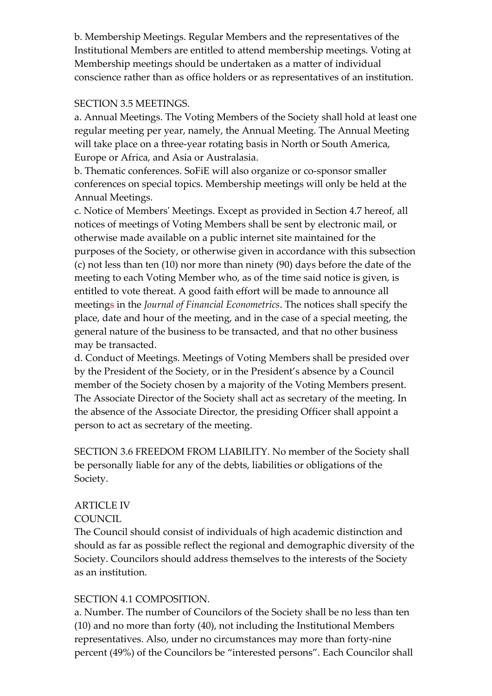b. Membership Meetings. Regular Members and the representatives of the Institutional Members are entitled to attend membership meetings. Voting at Membership meetings should be undertaken as a matter of individual conscience rather than as office holders or as representatives of an institution.

### SECTION 3.5 MEETINGS.

a. Annual Meetings. The Voting Members of the Society shall hold at least one regular meeting per year, namely, the Annual Meeting. The Annual Meeting will take place on a three-year rotating basis in North or South America, Europe or Africa, and Asia or Australasia.

b. Thematic conferences. SoFiE will also organize or co-sponsor smaller conferences on special topics. Membership meetings will only be held at the Annual Meetings.

c. Notice of Members' Meetings. Except as provided in Section 4.7 hereof, all notices of meetings of Voting Members shall be sent by electronic mail, or otherwise made available on a public internet site maintained for the purposes of the Society, or otherwise given in accordance with this subsection (c) not less than ten (10) nor more than ninety (90) days before the date of the meeting to each Voting Member who, as of the time said notice is given, is entitled to vote thereat. A good faith effort will be made to announce all meetings in the *Journal of Financial Econometrics*. The notices shall specify the place, date and hour of the meeting, and in the case of a special meeting, the general nature of the business to be transacted, and that no other business may be transacted.

d. Conduct of Meetings. Meetings of Voting Members shall be presided over by the President of the Society, or in the President's absence by a Council member of the Society chosen by a majority of the Voting Members present. The Associate Director of the Society shall act as secretary of the meeting. In the absence of the Associate Director, the presiding Officer shall appoint a person to act as secretary of the meeting.

SECTION 3.6 FREEDOM FROM LIABILITY. No member of the Society shall be personally liable for any of the debts, liabilities or obligations of the Society.

# ARTICLE IV

# **COUNCIL**

The Council should consist of individuals of high academic distinction and should as far as possible reflect the regional and demographic diversity of the Society. Councilors should address themselves to the interests of the Society as an institution.

# SECTION 4.1 COMPOSITION.

a. Number. The number of Councilors of the Society shall be no less than ten (10) and no more than forty (40), not including the Institutional Members representatives. Also, under no circumstances may more than forty-nine percent (49%) of the Councilors be "interested persons". Each Councilor shall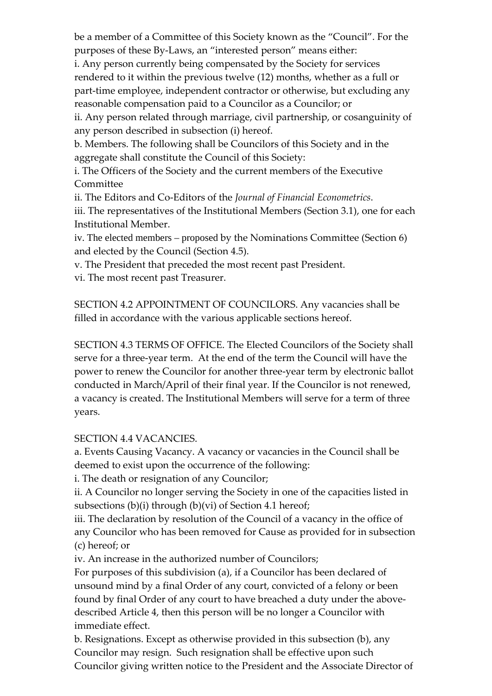be a member of a Committee of this Society known as the "Council". For the purposes of these By-Laws, an "interested person" means either:

i. Any person currently being compensated by the Society for services rendered to it within the previous twelve (12) months, whether as a full or part-time employee, independent contractor or otherwise, but excluding any reasonable compensation paid to a Councilor as a Councilor; or

ii. Any person related through marriage, civil partnership, or cosanguinity of any person described in subsection (i) hereof.

b. Members. The following shall be Councilors of this Society and in the aggregate shall constitute the Council of this Society:

i. The Officers of the Society and the current members of the Executive Committee

ii. The Editors and Co-Editors of the *Journal of Financial Econometrics*.

iii. The representatives of the Institutional Members (Section 3.1), one for each Institutional Member.

iv. The elected members – proposed by the Nominations Committee (Section 6) and elected by the Council (Section 4.5).

v. The President that preceded the most recent past President.

vi. The most recent past Treasurer.

SECTION 4.2 APPOINTMENT OF COUNCILORS. Any vacancies shall be filled in accordance with the various applicable sections hereof.

SECTION 4.3 TERMS OF OFFICE. The Elected Councilors of the Society shall serve for a three-year term. At the end of the term the Council will have the power to renew the Councilor for another three-year term by electronic ballot conducted in March/April of their final year. If the Councilor is not renewed, a vacancy is created. The Institutional Members will serve for a term of three years.

SECTION 4.4 VACANCIES.

a. Events Causing Vacancy. A vacancy or vacancies in the Council shall be deemed to exist upon the occurrence of the following:

i. The death or resignation of any Councilor;

ii. A Councilor no longer serving the Society in one of the capacities listed in subsections (b)(i) through (b)(vi) of Section 4.1 hereof;

iii. The declaration by resolution of the Council of a vacancy in the office of any Councilor who has been removed for Cause as provided for in subsection (c) hereof; or

iv. An increase in the authorized number of Councilors;

For purposes of this subdivision (a), if a Councilor has been declared of unsound mind by a final Order of any court, convicted of a felony or been found by final Order of any court to have breached a duty under the abovedescribed Article 4, then this person will be no longer a Councilor with immediate effect.

b. Resignations. Except as otherwise provided in this subsection (b), any Councilor may resign. Such resignation shall be effective upon such Councilor giving written notice to the President and the Associate Director of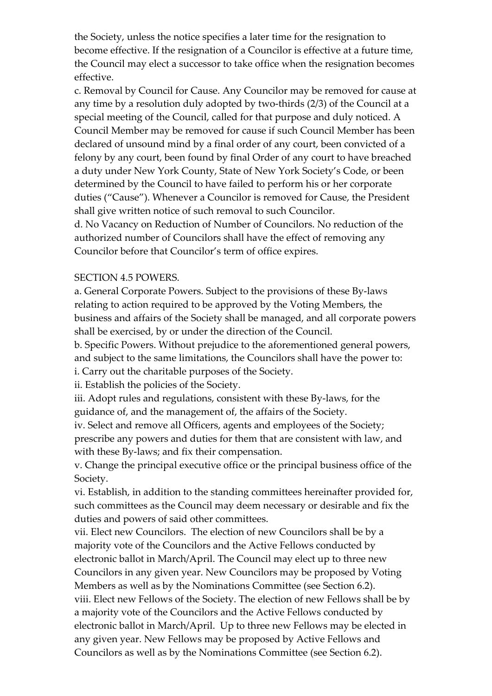the Society, unless the notice specifies a later time for the resignation to become effective. If the resignation of a Councilor is effective at a future time, the Council may elect a successor to take office when the resignation becomes effective.

c. Removal by Council for Cause. Any Councilor may be removed for cause at any time by a resolution duly adopted by two-thirds (2/3) of the Council at a special meeting of the Council, called for that purpose and duly noticed. A Council Member may be removed for cause if such Council Member has been declared of unsound mind by a final order of any court, been convicted of a felony by any court, been found by final Order of any court to have breached a duty under New York County, State of New York Society's Code, or been determined by the Council to have failed to perform his or her corporate duties ("Cause"). Whenever a Councilor is removed for Cause, the President shall give written notice of such removal to such Councilor.

d. No Vacancy on Reduction of Number of Councilors. No reduction of the authorized number of Councilors shall have the effect of removing any Councilor before that Councilor's term of office expires.

#### SECTION 4.5 POWERS.

a. General Corporate Powers. Subject to the provisions of these By-laws relating to action required to be approved by the Voting Members, the business and affairs of the Society shall be managed, and all corporate powers shall be exercised, by or under the direction of the Council.

b. Specific Powers. Without prejudice to the aforementioned general powers, and subject to the same limitations, the Councilors shall have the power to:

i. Carry out the charitable purposes of the Society.

ii. Establish the policies of the Society.

iii. Adopt rules and regulations, consistent with these By-laws, for the guidance of, and the management of, the affairs of the Society.

iv. Select and remove all Officers, agents and employees of the Society; prescribe any powers and duties for them that are consistent with law, and with these By-laws; and fix their compensation.

v. Change the principal executive office or the principal business office of the Society.

vi. Establish, in addition to the standing committees hereinafter provided for, such committees as the Council may deem necessary or desirable and fix the duties and powers of said other committees.

vii. Elect new Councilors. The election of new Councilors shall be by a majority vote of the Councilors and the Active Fellows conducted by electronic ballot in March/April. The Council may elect up to three new Councilors in any given year. New Councilors may be proposed by Voting Members as well as by the Nominations Committee (see Section 6.2). viii. Elect new Fellows of the Society. The election of new Fellows shall be by a majority vote of the Councilors and the Active Fellows conducted by electronic ballot in March/April. Up to three new Fellows may be elected in any given year. New Fellows may be proposed by Active Fellows and Councilors as well as by the Nominations Committee (see Section 6.2).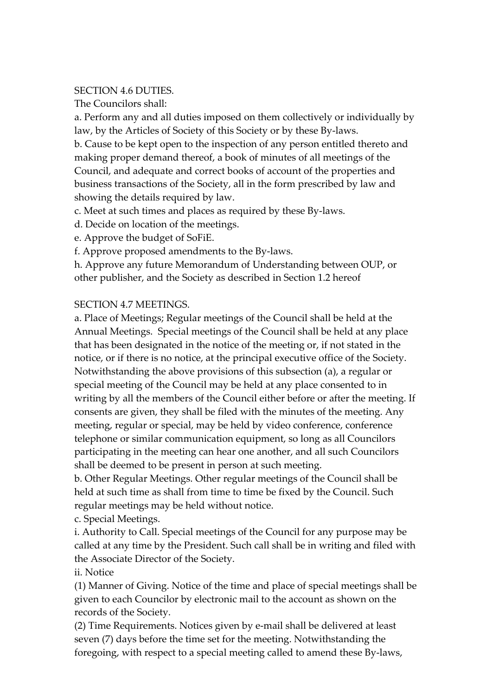#### SECTION 4.6 DUTIES.

The Councilors shall:

a. Perform any and all duties imposed on them collectively or individually by law, by the Articles of Society of this Society or by these By-laws.

b. Cause to be kept open to the inspection of any person entitled thereto and making proper demand thereof, a book of minutes of all meetings of the Council, and adequate and correct books of account of the properties and business transactions of the Society, all in the form prescribed by law and showing the details required by law.

c. Meet at such times and places as required by these By-laws.

d. Decide on location of the meetings.

e. Approve the budget of SoFiE.

f. Approve proposed amendments to the By-laws.

h. Approve any future Memorandum of Understanding between OUP, or other publisher, and the Society as described in Section 1.2 hereof

# SECTION 4.7 MEETINGS.

a. Place of Meetings; Regular meetings of the Council shall be held at the Annual Meetings. Special meetings of the Council shall be held at any place that has been designated in the notice of the meeting or, if not stated in the notice, or if there is no notice, at the principal executive office of the Society. Notwithstanding the above provisions of this subsection (a), a regular or special meeting of the Council may be held at any place consented to in writing by all the members of the Council either before or after the meeting. If consents are given, they shall be filed with the minutes of the meeting. Any meeting, regular or special, may be held by video conference, conference telephone or similar communication equipment, so long as all Councilors participating in the meeting can hear one another, and all such Councilors shall be deemed to be present in person at such meeting.

b. Other Regular Meetings. Other regular meetings of the Council shall be held at such time as shall from time to time be fixed by the Council. Such regular meetings may be held without notice.

c. Special Meetings.

i. Authority to Call. Special meetings of the Council for any purpose may be called at any time by the President. Such call shall be in writing and filed with the Associate Director of the Society.

# ii. Notice

(1) Manner of Giving. Notice of the time and place of special meetings shall be given to each Councilor by electronic mail to the account as shown on the records of the Society.

(2) Time Requirements. Notices given by e-mail shall be delivered at least seven (7) days before the time set for the meeting. Notwithstanding the foregoing, with respect to a special meeting called to amend these By-laws,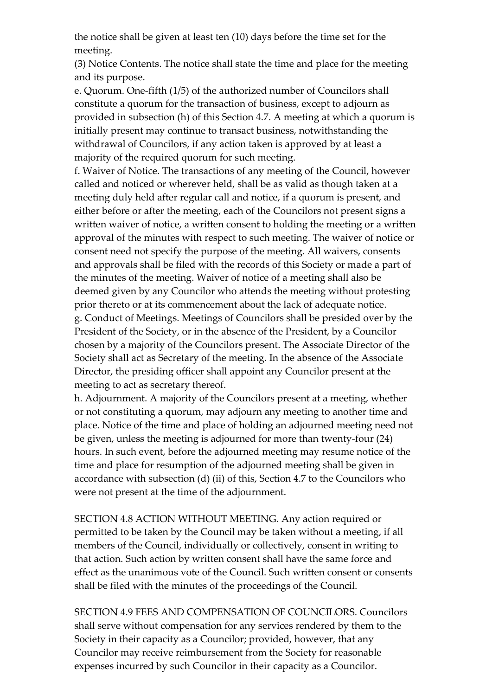the notice shall be given at least ten (10) days before the time set for the meeting.

(3) Notice Contents. The notice shall state the time and place for the meeting and its purpose.

e. Quorum. One-fifth (1/5) of the authorized number of Councilors shall constitute a quorum for the transaction of business, except to adjourn as provided in subsection (h) of this Section 4.7. A meeting at which a quorum is initially present may continue to transact business, notwithstanding the withdrawal of Councilors, if any action taken is approved by at least a majority of the required quorum for such meeting.

f. Waiver of Notice. The transactions of any meeting of the Council, however called and noticed or wherever held, shall be as valid as though taken at a meeting duly held after regular call and notice, if a quorum is present, and either before or after the meeting, each of the Councilors not present signs a written waiver of notice, a written consent to holding the meeting or a written approval of the minutes with respect to such meeting. The waiver of notice or consent need not specify the purpose of the meeting. All waivers, consents and approvals shall be filed with the records of this Society or made a part of the minutes of the meeting. Waiver of notice of a meeting shall also be deemed given by any Councilor who attends the meeting without protesting prior thereto or at its commencement about the lack of adequate notice. g. Conduct of Meetings. Meetings of Councilors shall be presided over by the President of the Society, or in the absence of the President, by a Councilor chosen by a majority of the Councilors present. The Associate Director of the Society shall act as Secretary of the meeting. In the absence of the Associate Director, the presiding officer shall appoint any Councilor present at the meeting to act as secretary thereof.

h. Adjournment. A majority of the Councilors present at a meeting, whether or not constituting a quorum, may adjourn any meeting to another time and place. Notice of the time and place of holding an adjourned meeting need not be given, unless the meeting is adjourned for more than twenty-four (24) hours. In such event, before the adjourned meeting may resume notice of the time and place for resumption of the adjourned meeting shall be given in accordance with subsection (d) (ii) of this, Section 4.7 to the Councilors who were not present at the time of the adjournment.

SECTION 4.8 ACTION WITHOUT MEETING. Any action required or permitted to be taken by the Council may be taken without a meeting, if all members of the Council, individually or collectively, consent in writing to that action. Such action by written consent shall have the same force and effect as the unanimous vote of the Council. Such written consent or consents shall be filed with the minutes of the proceedings of the Council.

SECTION 4.9 FEES AND COMPENSATION OF COUNCILORS. Councilors shall serve without compensation for any services rendered by them to the Society in their capacity as a Councilor; provided, however, that any Councilor may receive reimbursement from the Society for reasonable expenses incurred by such Councilor in their capacity as a Councilor.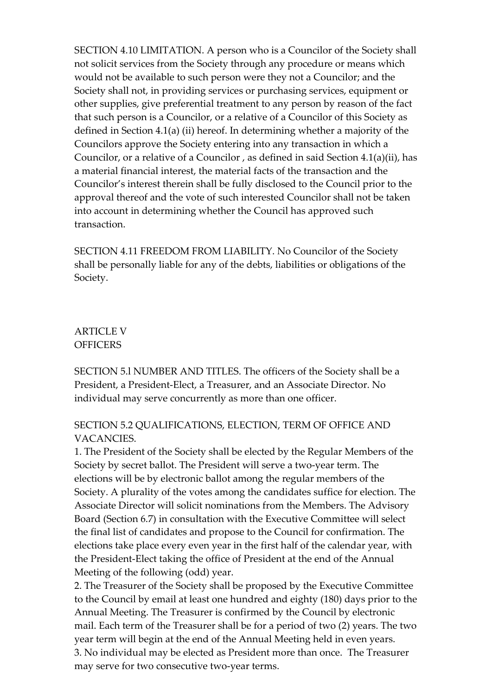SECTION 4.10 LIMITATION. A person who is a Councilor of the Society shall not solicit services from the Society through any procedure or means which would not be available to such person were they not a Councilor; and the Society shall not, in providing services or purchasing services, equipment or other supplies, give preferential treatment to any person by reason of the fact that such person is a Councilor, or a relative of a Councilor of this Society as defined in Section 4.1(a) (ii) hereof. In determining whether a majority of the Councilors approve the Society entering into any transaction in which a Councilor, or a relative of a Councilor , as defined in said Section 4.1(a)(ii), has a material financial interest, the material facts of the transaction and the Councilor's interest therein shall be fully disclosed to the Council prior to the approval thereof and the vote of such interested Councilor shall not be taken into account in determining whether the Council has approved such transaction.

SECTION 4.11 FREEDOM FROM LIABILITY. No Councilor of the Society shall be personally liable for any of the debts, liabilities or obligations of the Society.

ARTICLE V **OFFICERS** 

SECTION 5.l NUMBER AND TITLES. The officers of the Society shall be a President, a President-Elect, a Treasurer, and an Associate Director. No individual may serve concurrently as more than one officer.

# SECTION 5.2 QUALIFICATIONS, ELECTION, TERM OF OFFICE AND VACANCIES.

1. The President of the Society shall be elected by the Regular Members of the Society by secret ballot. The President will serve a two-year term. The elections will be by electronic ballot among the regular members of the Society. A plurality of the votes among the candidates suffice for election. The Associate Director will solicit nominations from the Members. The Advisory Board (Section 6.7) in consultation with the Executive Committee will select the final list of candidates and propose to the Council for confirmation. The elections take place every even year in the first half of the calendar year, with the President-Elect taking the office of President at the end of the Annual Meeting of the following (odd) year.

2. The Treasurer of the Society shall be proposed by the Executive Committee to the Council by email at least one hundred and eighty (180) days prior to the Annual Meeting. The Treasurer is confirmed by the Council by electronic mail. Each term of the Treasurer shall be for a period of two (2) years. The two year term will begin at the end of the Annual Meeting held in even years. 3. No individual may be elected as President more than once. The Treasurer may serve for two consecutive two-year terms.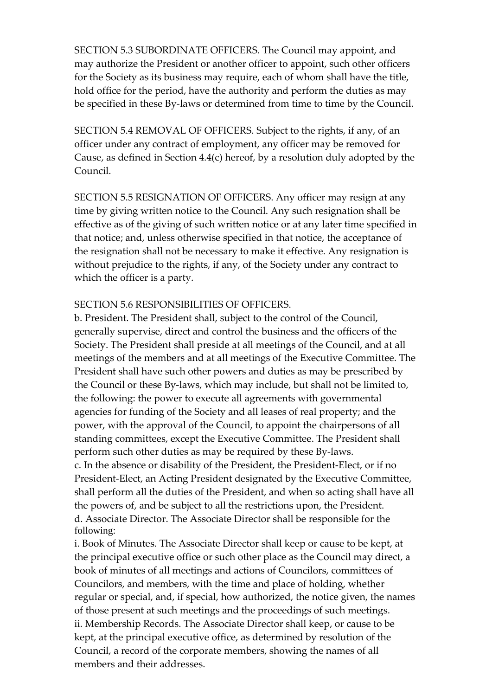SECTION 5.3 SUBORDINATE OFFICERS. The Council may appoint, and may authorize the President or another officer to appoint, such other officers for the Society as its business may require, each of whom shall have the title, hold office for the period, have the authority and perform the duties as may be specified in these By-laws or determined from time to time by the Council.

SECTION 5.4 REMOVAL OF OFFICERS. Subject to the rights, if any, of an officer under any contract of employment, any officer may be removed for Cause, as defined in Section 4.4(c) hereof, by a resolution duly adopted by the Council.

SECTION 5.5 RESIGNATION OF OFFICERS. Any officer may resign at any time by giving written notice to the Council. Any such resignation shall be effective as of the giving of such written notice or at any later time specified in that notice; and, unless otherwise specified in that notice, the acceptance of the resignation shall not be necessary to make it effective. Any resignation is without prejudice to the rights, if any, of the Society under any contract to which the officer is a party.

#### SECTION 5.6 RESPONSIBILITIES OF OFFICERS

b. President. The President shall, subject to the control of the Council, generally supervise, direct and control the business and the officers of the Society. The President shall preside at all meetings of the Council, and at all meetings of the members and at all meetings of the Executive Committee. The President shall have such other powers and duties as may be prescribed by the Council or these By-laws, which may include, but shall not be limited to, the following: the power to execute all agreements with governmental agencies for funding of the Society and all leases of real property; and the power, with the approval of the Council, to appoint the chairpersons of all standing committees, except the Executive Committee. The President shall perform such other duties as may be required by these By-laws. c. In the absence or disability of the President, the President-Elect, or if no President-Elect, an Acting President designated by the Executive Committee, shall perform all the duties of the President, and when so acting shall have all the powers of, and be subject to all the restrictions upon, the President. d. Associate Director. The Associate Director shall be responsible for the following:

i. Book of Minutes. The Associate Director shall keep or cause to be kept, at the principal executive office or such other place as the Council may direct, a book of minutes of all meetings and actions of Councilors, committees of Councilors, and members, with the time and place of holding, whether regular or special, and, if special, how authorized, the notice given, the names of those present at such meetings and the proceedings of such meetings. ii. Membership Records. The Associate Director shall keep, or cause to be kept, at the principal executive office, as determined by resolution of the Council, a record of the corporate members, showing the names of all members and their addresses.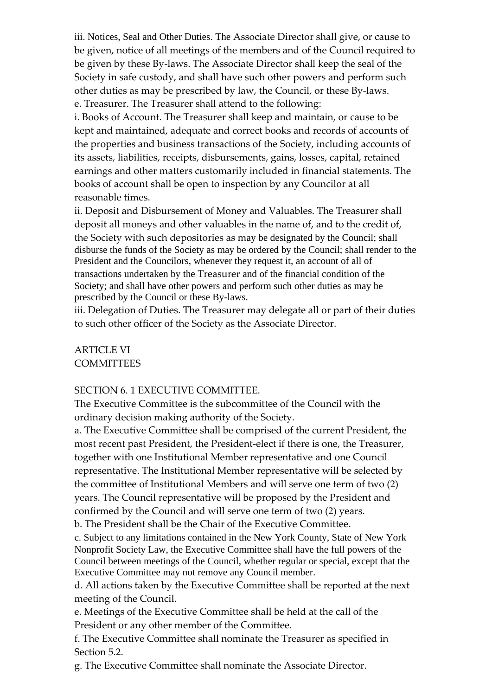iii. Notices, Seal and Other Duties. The Associate Director shall give, or cause to be given, notice of all meetings of the members and of the Council required to be given by these By-laws. The Associate Director shall keep the seal of the Society in safe custody, and shall have such other powers and perform such other duties as may be prescribed by law, the Council, or these By-laws. e. Treasurer. The Treasurer shall attend to the following:

i. Books of Account. The Treasurer shall keep and maintain, or cause to be kept and maintained, adequate and correct books and records of accounts of the properties and business transactions of the Society, including accounts of its assets, liabilities, receipts, disbursements, gains, losses, capital, retained earnings and other matters customarily included in financial statements. The books of account shall be open to inspection by any Councilor at all reasonable times.

ii. Deposit and Disbursement of Money and Valuables. The Treasurer shall deposit all moneys and other valuables in the name of, and to the credit of, the Society with such depositories as may be designated by the Council; shall disburse the funds of the Society as may be ordered by the Council; shall render to the President and the Councilors, whenever they request it, an account of all of transactions undertaken by the Treasurer and of the financial condition of the Society; and shall have other powers and perform such other duties as may be prescribed by the Council or these By-laws.

iii. Delegation of Duties. The Treasurer may delegate all or part of their duties to such other officer of the Society as the Associate Director.

# ARTICLE VI **COMMITTEES**

#### SECTION 6. 1 EXECUTIVE COMMITTEE.

The Executive Committee is the subcommittee of the Council with the ordinary decision making authority of the Society.

a. The Executive Committee shall be comprised of the current President, the most recent past President, the President-elect if there is one, the Treasurer, together with one Institutional Member representative and one Council representative. The Institutional Member representative will be selected by the committee of Institutional Members and will serve one term of two (2) years. The Council representative will be proposed by the President and confirmed by the Council and will serve one term of two (2) years.

b. The President shall be the Chair of the Executive Committee.

c. Subject to any limitations contained in the New York County, State of New York Nonprofit Society Law, the Executive Committee shall have the full powers of the Council between meetings of the Council, whether regular or special, except that the Executive Committee may not remove any Council member.

d. All actions taken by the Executive Committee shall be reported at the next meeting of the Council.

e. Meetings of the Executive Committee shall be held at the call of the President or any other member of the Committee.

f. The Executive Committee shall nominate the Treasurer as specified in Section 5.2.

g. The Executive Committee shall nominate the Associate Director.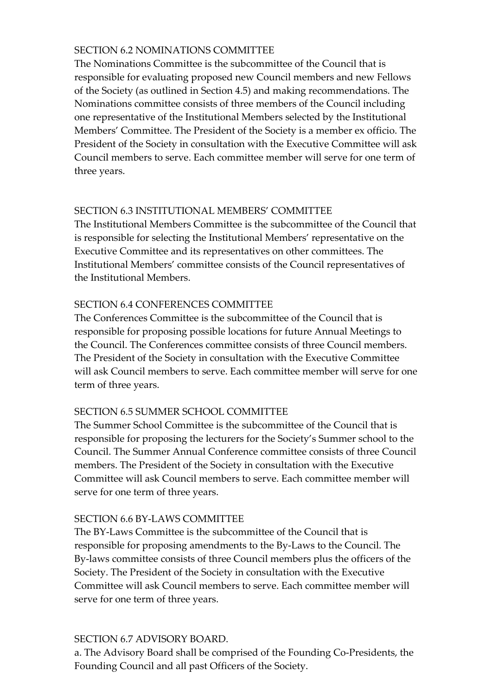### SECTION 6.2 NOMINATIONS COMMITTEE

The Nominations Committee is the subcommittee of the Council that is responsible for evaluating proposed new Council members and new Fellows of the Society (as outlined in Section 4.5) and making recommendations. The Nominations committee consists of three members of the Council including one representative of the Institutional Members selected by the Institutional Members' Committee. The President of the Society is a member ex officio. The President of the Society in consultation with the Executive Committee will ask Council members to serve. Each committee member will serve for one term of three years.

### SECTION 6.3 INSTITUTIONAL MEMBERS' COMMITTEE

The Institutional Members Committee is the subcommittee of the Council that is responsible for selecting the Institutional Members' representative on the Executive Committee and its representatives on other committees. The Institutional Members' committee consists of the Council representatives of the Institutional Members.

# SECTION 6.4 CONFERENCES COMMITTEE

The Conferences Committee is the subcommittee of the Council that is responsible for proposing possible locations for future Annual Meetings to the Council. The Conferences committee consists of three Council members. The President of the Society in consultation with the Executive Committee will ask Council members to serve. Each committee member will serve for one term of three years.

# SECTION 6.5 SUMMER SCHOOL COMMITTEE

The Summer School Committee is the subcommittee of the Council that is responsible for proposing the lecturers for the Society's Summer school to the Council. The Summer Annual Conference committee consists of three Council members. The President of the Society in consultation with the Executive Committee will ask Council members to serve. Each committee member will serve for one term of three years.

# SECTION 6.6 BY-LAWS COMMITTEE

The BY-Laws Committee is the subcommittee of the Council that is responsible for proposing amendments to the By-Laws to the Council. The By-laws committee consists of three Council members plus the officers of the Society. The President of the Society in consultation with the Executive Committee will ask Council members to serve. Each committee member will serve for one term of three years.

#### SECTION 6.7 ADVISORY BOARD.

a. The Advisory Board shall be comprised of the Founding Co-Presidents, the Founding Council and all past Officers of the Society.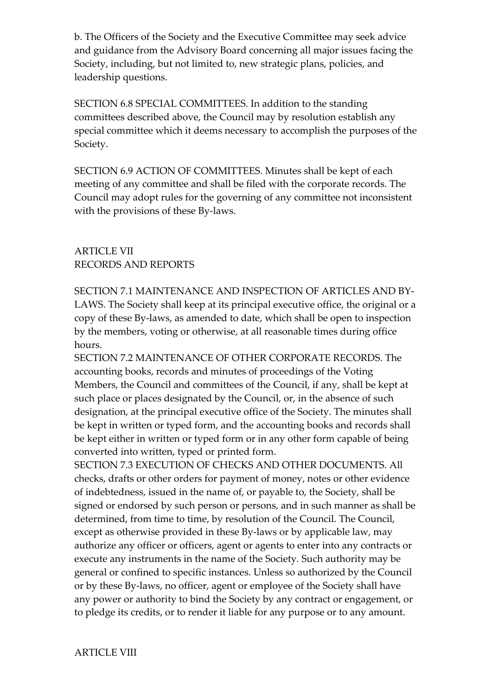b. The Officers of the Society and the Executive Committee may seek advice and guidance from the Advisory Board concerning all major issues facing the Society, including, but not limited to, new strategic plans, policies, and leadership questions.

SECTION 6.8 SPECIAL COMMITTEES. In addition to the standing committees described above, the Council may by resolution establish any special committee which it deems necessary to accomplish the purposes of the Society.

SECTION 6.9 ACTION OF COMMITTEES. Minutes shall be kept of each meeting of any committee and shall be filed with the corporate records. The Council may adopt rules for the governing of any committee not inconsistent with the provisions of these By-laws.

# ARTICLE VII RECORDS AND REPORTS

SECTION 7.1 MAINTENANCE AND INSPECTION OF ARTICLES AND BY-LAWS. The Society shall keep at its principal executive office, the original or a copy of these By-laws, as amended to date, which shall be open to inspection by the members, voting or otherwise, at all reasonable times during office hours.

SECTION 7.2 MAINTENANCE OF OTHER CORPORATE RECORDS. The accounting books, records and minutes of proceedings of the Voting Members, the Council and committees of the Council, if any, shall be kept at such place or places designated by the Council, or, in the absence of such designation, at the principal executive office of the Society. The minutes shall be kept in written or typed form, and the accounting books and records shall be kept either in written or typed form or in any other form capable of being converted into written, typed or printed form.

SECTION 7.3 EXECUTION OF CHECKS AND OTHER DOCUMENTS. All checks, drafts or other orders for payment of money, notes or other evidence of indebtedness, issued in the name of, or payable to, the Society, shall be signed or endorsed by such person or persons, and in such manner as shall be determined, from time to time, by resolution of the Council. The Council, except as otherwise provided in these By-laws or by applicable law, may authorize any officer or officers, agent or agents to enter into any contracts or execute any instruments in the name of the Society. Such authority may be general or confined to specific instances. Unless so authorized by the Council or by these By-laws, no officer, agent or employee of the Society shall have any power or authority to bind the Society by any contract or engagement, or to pledge its credits, or to render it liable for any purpose or to any amount.